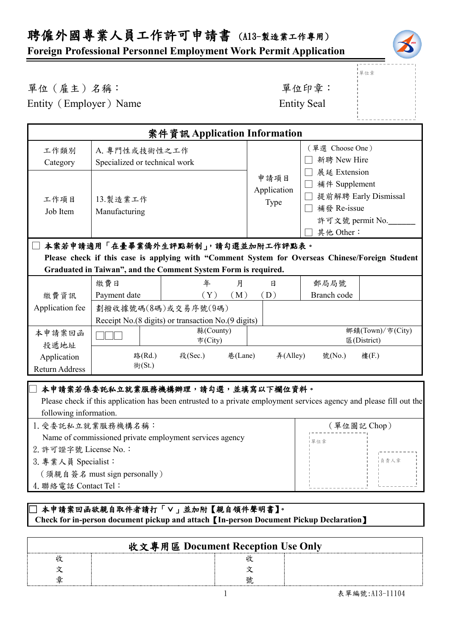# 聘僱外國專業人員工作許可申請書 (A13-製造業工作專用)

## **Foreign Professional Personnel Employment Work Permit Application**



|<br>|單位章

### 單位(雇主)名稱: 第六章: 李仁平 李 雷位印章:

Entity (Employer) Name Entity Seal

| 案件資訊 Application Information                                                                                                                                                                           |                                                                                                                          |                                                                             |                                         |                                |                                 |
|--------------------------------------------------------------------------------------------------------------------------------------------------------------------------------------------------------|--------------------------------------------------------------------------------------------------------------------------|-----------------------------------------------------------------------------|-----------------------------------------|--------------------------------|---------------------------------|
| 工作類別<br>Category                                                                                                                                                                                       | A. 專門性或技術性之工作<br>Specialized or technical work                                                                           |                                                                             |                                         | (單選 Choose One)<br>新聘 New Hire |                                 |
| 工作項目<br>Job Item                                                                                                                                                                                       | 展延 Extension<br>申請項目<br>補件 Supplement<br>Application<br>13. 製造業工作<br>Type<br>□ 補發 Re-issue<br>Manufacturing<br>其他 Other: |                                                                             | 提前解聘 Early Dismissal<br>許可文號 permit No. |                                |                                 |
| 本案若申請適用「在臺畢業僑外生評點新制」,請勾選並加附工作評點表。<br>Please check if this case is applying with "Comment System for Overseas Chinese/Foreign Student<br>Graduated in Taiwan", and the Comment System Form is required. |                                                                                                                          |                                                                             |                                         |                                |                                 |
| 繳費資訊                                                                                                                                                                                                   | 繳費日<br>Payment date                                                                                                      | 年<br>月<br>(M)<br>(Y)                                                        | 日<br>(D)                                | 郵局局號<br>Branch code            |                                 |
| Application fee                                                                                                                                                                                        |                                                                                                                          | 劃撥收據號碼(8碼)或交易序號(9碼)<br>Receipt No. (8 digits) or transaction No. (9 digits) |                                         |                                |                                 |
| 本申請案回函<br>投遞地址                                                                                                                                                                                         | 縣(County)<br>市(City)                                                                                                     |                                                                             |                                         |                                | 鄉鎮(Town)/市(City)<br>區(District) |
| Application<br>Return Address                                                                                                                                                                          | 路(Rd.)<br>街(St.)                                                                                                         | 段(Sec.)<br>巷(Lane)                                                          | #(Alley)                                | 號(No.)                         | 樓(F.)                           |
| 本申請案若係委託私立就業服務機構辦理,請勾選,並填寫以下欄位資料。<br>Please check if this application has been entrusted to a private employment services agency and please fill out the<br>following information.                     |                                                                                                                          |                                                                             |                                         |                                |                                 |

| 1. 受委託私立就業服務機構名稱:                                       | (單位圖記 Chop) |        |
|---------------------------------------------------------|-------------|--------|
| Name of commissioned private employment services agency | 單位章         |        |
| 2. 許可證字號 License No.:                                   |             |        |
| 3. 專業人員 Specialist:                                     |             | □ 貪責人章 |
| (須親自簽名 must sign personally)                            |             |        |
| 4. 聯絡電話 Contact Tel:                                    |             |        |

#### \_<br>□本申請案回函欲親自取件者請打「∨」並加附【親自領件聲明書】。  **Check for in-person document pickup and attach**【**In-person Document Pickup Declaration**】

| 收文專用區 Document Reception Use Only |  |  |  |  |
|-----------------------------------|--|--|--|--|
|                                   |  |  |  |  |
|                                   |  |  |  |  |
|                                   |  |  |  |  |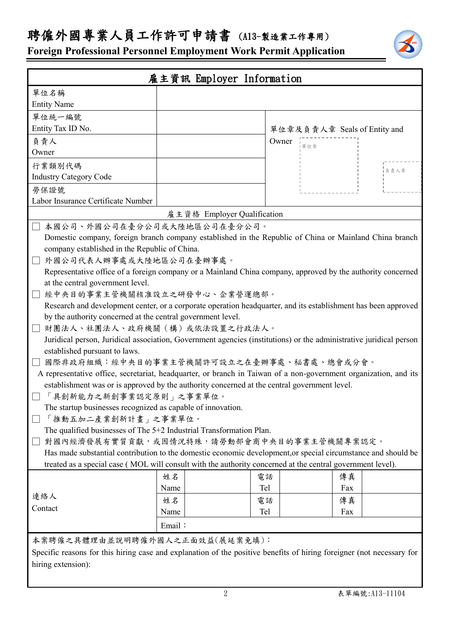**Foreign Professional Personnel Employment Work Permit Application**

| 雇主資訊 Employer Information                                                                                                                           |                                                             |            |                              |      |  |  |
|-----------------------------------------------------------------------------------------------------------------------------------------------------|-------------------------------------------------------------|------------|------------------------------|------|--|--|
| 單位名稱                                                                                                                                                |                                                             |            |                              |      |  |  |
| <b>Entity Name</b>                                                                                                                                  |                                                             |            |                              |      |  |  |
| 單位統一編號                                                                                                                                              |                                                             |            |                              |      |  |  |
| Entity Tax ID No.                                                                                                                                   |                                                             |            | 單位章及負責人章 Seals of Entity and |      |  |  |
| 負責人                                                                                                                                                 |                                                             | Owner      | -<br> 單位章                    |      |  |  |
| Owner                                                                                                                                               |                                                             |            |                              |      |  |  |
| 行業類別代碼                                                                                                                                              |                                                             |            |                              | 負責人章 |  |  |
| <b>Industry Category Code</b>                                                                                                                       |                                                             |            |                              |      |  |  |
| 勞保證號                                                                                                                                                |                                                             |            |                              |      |  |  |
| Labor Insurance Certificate Number                                                                                                                  |                                                             |            |                              |      |  |  |
|                                                                                                                                                     | 雇主資格 Employer Qualification                                 |            |                              |      |  |  |
| 本國公司、外國公司在臺分公司或大陸地區公司在臺分公司。                                                                                                                         |                                                             |            |                              |      |  |  |
| Domestic company, foreign branch company established in the Republic of China or Mainland China branch                                              |                                                             |            |                              |      |  |  |
| company established in the Republic of China.                                                                                                       |                                                             |            |                              |      |  |  |
| 外國公司代表人辦事處或大陸地區公司在臺辦事處。                                                                                                                             |                                                             |            |                              |      |  |  |
| Representative office of a foreign company or a Mainland China company, approved by the authority concerned                                         |                                                             |            |                              |      |  |  |
| at the central government level.                                                                                                                    |                                                             |            |                              |      |  |  |
| 經中央目的事業主管機關核准設立之研發中心、企業營運總部。                                                                                                                        |                                                             |            |                              |      |  |  |
| Research and development center, or a corporate operation headquarter, and its establishment has been approved                                      |                                                             |            |                              |      |  |  |
| by the authority concerned at the central government level.                                                                                         |                                                             |            |                              |      |  |  |
| 財團法人、社團法人、政府機關(構)或依法設置之行政法人。                                                                                                                        |                                                             |            |                              |      |  |  |
| Juridical person, Juridical association, Government agencies (institutions) or the administrative juridical person<br>established pursuant to laws. |                                                             |            |                              |      |  |  |
| 國際非政府組織︰經中央目的事業主管機關許可設立之在臺辦事處、秘書處、總會或分會。                                                                                                            |                                                             |            |                              |      |  |  |
| A representative office, secretariat, headquarter, or branch in Taiwan of a non-government organization, and its                                    |                                                             |            |                              |      |  |  |
| establishment was or is approved by the authority concerned at the central government level.                                                        |                                                             |            |                              |      |  |  |
| 「具創新能力之新創事業認定原則」之事業單位。                                                                                                                              |                                                             |            |                              |      |  |  |
|                                                                                                                                                     | The startup businesses recognized as capable of innovation. |            |                              |      |  |  |
|                                                                                                                                                     | 「推動五加二產業創新計畫」之事業單位。                                         |            |                              |      |  |  |
| The qualified businesses of The 5+2 Industrial Transformation Plan.                                                                                 |                                                             |            |                              |      |  |  |
| 對國內經濟發展有實質貢獻,或因情況特殊,請勞動部會商中央目的事業主管機關專案認定。                                                                                                           |                                                             |            |                              |      |  |  |
| Has made substantial contribution to the domestic economic development, or special circumstance and should be                                       |                                                             |            |                              |      |  |  |
| treated as a special case (MOL will consult with the authority concerned at the central government level).                                          |                                                             |            |                              |      |  |  |
|                                                                                                                                                     | 姓名                                                          | 電話         | 傳真                           |      |  |  |
|                                                                                                                                                     | Name                                                        | <b>Tel</b> | Fax                          |      |  |  |
| 連絡人                                                                                                                                                 | 姓名                                                          | 電話         | 傳真                           |      |  |  |
| Contact                                                                                                                                             | Name                                                        | Tel        | Fax                          |      |  |  |
|                                                                                                                                                     | Email:                                                      |            |                              |      |  |  |
| 本案聘僱之具體理由並說明聘僱外國人之正面效益(展延案免填):                                                                                                                      |                                                             |            |                              |      |  |  |
| Specific reasons for this hiring case and explanation of the positive benefits of hiring foreigner (not necessary for                               |                                                             |            |                              |      |  |  |
| hiring extension):                                                                                                                                  |                                                             |            |                              |      |  |  |
|                                                                                                                                                     |                                                             |            |                              |      |  |  |
|                                                                                                                                                     |                                                             |            |                              |      |  |  |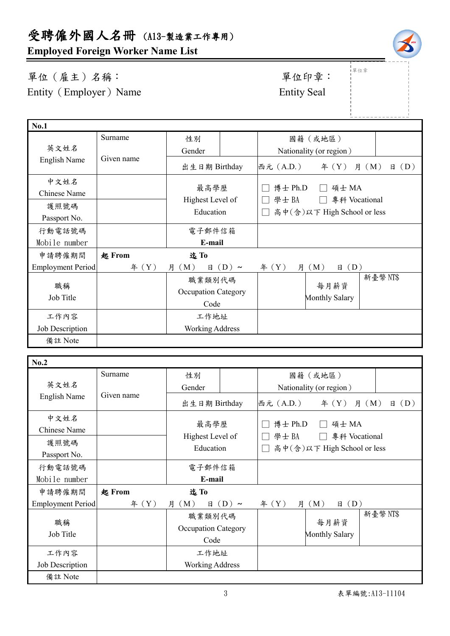**Employed Foreign Worker Name List**

單位(雇主)名稱: 第四章: 李位印章: 第一 Entity (Employer) Name Entity Seal

| <b>No.1</b>       |            |                             |            |                             |                 |                         |
|-------------------|------------|-----------------------------|------------|-----------------------------|-----------------|-------------------------|
|                   | Surname    | 性別                          |            |                             | 國籍(或地區)         |                         |
| 英文姓名              | Given name | Gender                      |            | Nationality (or region)     |                 |                         |
| English Name      |            | 出生日期 Birthday               |            | 西元 (A.D.)                   | f(X)            | $\boxplus$ (D)<br>月 (M) |
| 中文姓名              |            | 最高學歷                        |            | 博士 Ph.D                     | 碩士 MA           |                         |
| Chinese Name      |            |                             |            |                             |                 |                         |
| 護照號碼              |            | Highest Level of            |            | 學士BA<br>專科 Vocational       |                 |                         |
| Passport No.      |            | Education                   |            | 高中(含)以下 High School or less |                 |                         |
| 行動電話號碼            |            | 電子郵件信箱                      |            |                             |                 |                         |
| Mobile number     |            | E-mail                      |            |                             |                 |                         |
| 申請聘僱期間            | 起 From     | 迄To                         |            |                             |                 |                         |
| Employment Period | 年 (Y)      | (M)<br>月<br>日               | $(D) \sim$ | 年 $(Y)$<br>月                | (D)<br>(M)<br>日 |                         |
|                   |            | 職業類別代碼                      |            |                             | 每月薪資            | 新臺幣 NT\$                |
| 職稱<br>Job Title   |            | Occupation Category<br>Code |            |                             |                 |                         |
|                   |            |                             |            | Monthly Salary              |                 |                         |
| 工作內容              |            | 工作地址                        |            |                             |                 |                         |
| Job Description   |            | <b>Working Address</b>      |            |                             |                 |                         |
| 備註 Note           |            |                             |            |                             |                 |                         |

| No.2                     |            |                                    |                  |                                                      |                         |                |
|--------------------------|------------|------------------------------------|------------------|------------------------------------------------------|-------------------------|----------------|
|                          | Surname    | 性別                                 |                  |                                                      | 國籍(或地區)                 |                |
| 英文姓名                     | Given name | Gender                             |                  |                                                      | Nationality (or region) |                |
| English Name             |            | 出生日期 Birthday                      |                  | 西元 (A.D.)                                            | $\text{4}(Y)$ 月 (M)     | $\boxplus$ (D) |
| 中文姓名                     |            |                                    |                  | 博士 Ph.D                                              | 碩士 MA                   |                |
| Chinese Name             |            | 最高學歷                               |                  | 學士BA<br>專科 Vocational<br>高中(含)以下 High School or less |                         |                |
| 護照號碼                     |            | Highest Level of<br>Education      |                  |                                                      |                         |                |
| Passport No.             |            |                                    |                  |                                                      |                         |                |
| 行動電話號碼                   |            | 電子郵件信箱                             |                  |                                                      |                         |                |
| Mobile number            |            | E-mail                             |                  |                                                      |                         |                |
| 申請聘僱期間                   | 起 From     | 迄To                                |                  |                                                      |                         |                |
| <b>Employment Period</b> | # (Y)      | 月 (M)                              | $\boxplus$ (D) ~ | # (Y)                                                | 月 (M)<br>$\boxplus$ (D) |                |
| 職稱<br>Job Title          |            | 職業類別代碼                             |                  |                                                      |                         | 新臺幣NT\$        |
|                          |            | <b>Occupation Category</b><br>Code |                  | 每月薪資<br><b>Monthly Salary</b>                        |                         |                |
|                          |            |                                    |                  |                                                      |                         |                |
| 工作內容                     |            | 工作地址                               |                  |                                                      |                         |                |
| Job Description          |            | <b>Working Address</b>             |                  |                                                      |                         |                |
| 備註 Note                  |            |                                    |                  |                                                      |                         |                |



|<br>|單位章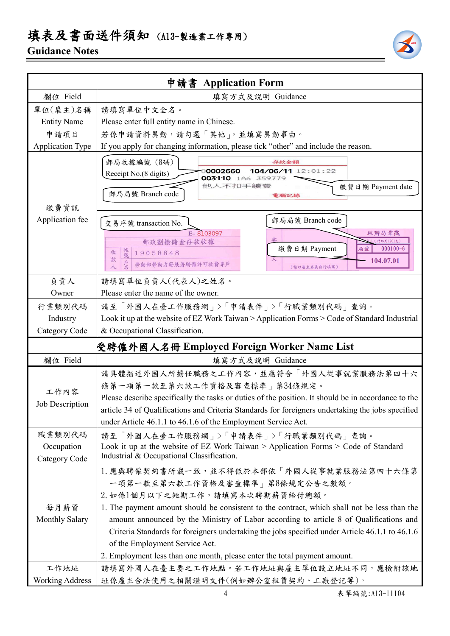# 填表及書面送件須知 (A13-製造業工作專用)

## **Guidance Notes**



|                                            | 申請書 Application Form                                                                                                                                                                                                                                                                                                                                                                                                                                                                                                       |  |  |  |
|--------------------------------------------|----------------------------------------------------------------------------------------------------------------------------------------------------------------------------------------------------------------------------------------------------------------------------------------------------------------------------------------------------------------------------------------------------------------------------------------------------------------------------------------------------------------------------|--|--|--|
| 欄位 Field                                   | 填寫方式及說明 Guidance                                                                                                                                                                                                                                                                                                                                                                                                                                                                                                           |  |  |  |
| 單位(雇主)名稱                                   | 請填寫單位中文全名。                                                                                                                                                                                                                                                                                                                                                                                                                                                                                                                 |  |  |  |
| <b>Entity Name</b>                         | Please enter full entity name in Chinese.                                                                                                                                                                                                                                                                                                                                                                                                                                                                                  |  |  |  |
| 申請項目                                       | 若係申請資料異動,請勾選「其他」,並填寫異動事由。                                                                                                                                                                                                                                                                                                                                                                                                                                                                                                  |  |  |  |
| <b>Application Type</b>                    | If you apply for changing information, please tick "other" and include the reason.                                                                                                                                                                                                                                                                                                                                                                                                                                         |  |  |  |
| 繳費資訊                                       | 郵局收據編號 (8碼)<br>存款金額<br>104/06/11 12:01:22<br>0002660<br>Receipt No.(8 digits)<br>003110 1A6 359779<br>他人不扣手續靈<br>繳費日期 Payment date<br>郵局局號 Branch code<br>電腦記錄                                                                                                                                                                                                                                                                                                                                                             |  |  |  |
| Application fee                            | 郵局局號 Branch code<br>交易序號 transaction No.<br>E-8103097<br>經辦局章戳<br>郵政劃撥儲金存款收據<br>門郵局(901支)<br>繳費日期 Payment<br>$000100 - 6$<br>局號<br>帳號<br>19058848<br>收<br>款<br>104.07.01<br>⋏<br>勞動部勞動力發展署聘僱許可收費專戶<br>人<br>(請以雇主名義自行填寫)                                                                                                                                                                                                                                                                                                    |  |  |  |
| 負責人                                        | 請填寫單位負責人(代表人)之姓名。                                                                                                                                                                                                                                                                                                                                                                                                                                                                                                          |  |  |  |
| Owner                                      | Please enter the name of the owner.                                                                                                                                                                                                                                                                                                                                                                                                                                                                                        |  |  |  |
| 行業類別代碼                                     | 請至「外國人在臺工作服務網」>「申請表件」>「行職業類別代碼」查詢。                                                                                                                                                                                                                                                                                                                                                                                                                                                                                         |  |  |  |
| Industry                                   | Look it up at the website of EZ Work Taiwan > Application Forms > Code of Standard Industrial                                                                                                                                                                                                                                                                                                                                                                                                                              |  |  |  |
| Category Code                              | & Occupational Classification.                                                                                                                                                                                                                                                                                                                                                                                                                                                                                             |  |  |  |
| 受聘僱外國人名冊 Employed Foreign Worker Name List |                                                                                                                                                                                                                                                                                                                                                                                                                                                                                                                            |  |  |  |
| 欄位 Field                                   | 填寫方式及說明 Guidance                                                                                                                                                                                                                                                                                                                                                                                                                                                                                                           |  |  |  |
| 工作內容<br><b>Job Description</b>             | 請具體描述外國人所擔任職務之工作內容,並應符合「外國人從事就業服務法第四十六<br>條第一項第一款至第六款工作資格及審查標準」第34條規定。<br>Please describe specifically the tasks or duties of the position. It should be in accordance to the<br>article 34 of Qualifications and Criteria Standards for foreigners undertaking the jobs specified<br>under Article 46.1.1 to 46.1.6 of the Employment Service Act.                                                                                                                                                                        |  |  |  |
| 職業類別代碼<br>Occupation<br>Category Code      | 請至「外國人在臺工作服務網」>「申請表件」>「行職業類別代碼」查詢。<br>Look it up at the website of EZ Work Taiwan > Application Forms > Code of Standard<br>Industrial & Occupational Classification.                                                                                                                                                                                                                                                                                                                                                      |  |  |  |
| 每月薪資<br><b>Monthly Salary</b>              | 1. 應與聘僱契約書所載一致,並不得低於本部依「外國人從事就業服務法第四十六條第<br>一項第一款至第六款工作資格及審查標準   第8條規定公告之數額。<br>2. 如係1個月以下之短期工作,請填寫本次聘期薪資給付總額。<br>1. The payment amount should be consistent to the contract, which shall not be less than the<br>amount announced by the Ministry of Labor according to article 8 of Qualifications and<br>Criteria Standards for foreigners undertaking the jobs specified under Article 46.1.1 to 46.1.6<br>of the Employment Service Act.<br>2. Employment less than one month, please enter the total payment amount. |  |  |  |
| 工作地址                                       | 請填寫外國人在臺主要之工作地點。若工作地址與雇主單位設立地址不同,應檢附該地                                                                                                                                                                                                                                                                                                                                                                                                                                                                                     |  |  |  |
| <b>Working Address</b>                     | 址係雇主合法使用之相關證明文件(例如辦公室租賃契約、工廠登記等)。                                                                                                                                                                                                                                                                                                                                                                                                                                                                                          |  |  |  |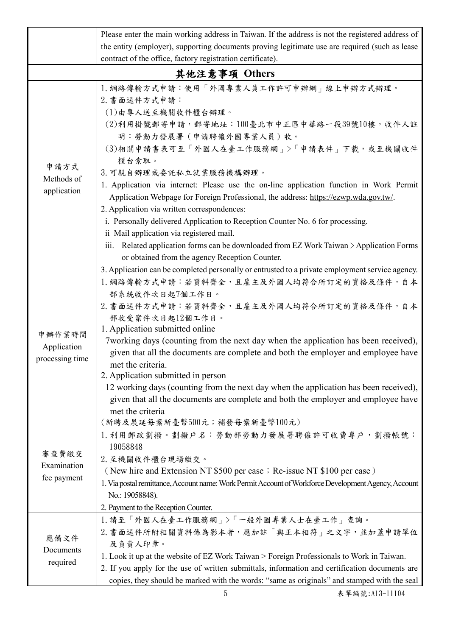|                                                            | Please enter the main working address in Taiwan. If the address is not the registered address of                                                                                                                                                                                                                                                                                                                                                                                                                                                                                                                                                                                                   |  |  |  |  |  |
|------------------------------------------------------------|----------------------------------------------------------------------------------------------------------------------------------------------------------------------------------------------------------------------------------------------------------------------------------------------------------------------------------------------------------------------------------------------------------------------------------------------------------------------------------------------------------------------------------------------------------------------------------------------------------------------------------------------------------------------------------------------------|--|--|--|--|--|
|                                                            | the entity (employer), supporting documents proving legitimate use are required (such as lease                                                                                                                                                                                                                                                                                                                                                                                                                                                                                                                                                                                                     |  |  |  |  |  |
|                                                            |                                                                                                                                                                                                                                                                                                                                                                                                                                                                                                                                                                                                                                                                                                    |  |  |  |  |  |
| contract of the office, factory registration certificate). |                                                                                                                                                                                                                                                                                                                                                                                                                                                                                                                                                                                                                                                                                                    |  |  |  |  |  |
|                                                            | 其他注意事項 Others                                                                                                                                                                                                                                                                                                                                                                                                                                                                                                                                                                                                                                                                                      |  |  |  |  |  |
| 申請方式<br>Methods of<br>application                          | 1. 網路傳輸方式申請:使用「外國專業人員工作許可申辦網」線上申辦方式辦理。<br>2. 書面送件方式申請:<br>(1)由專人送至機關收件櫃台辦理。<br>(2)利用掛號郵寄申請,郵寄地址:100臺北市中正區中華路一段39號10樓,收件人註<br>明:勞動力發展署(申請聘僱外國專業人員)收。<br>(3)相關申請書表可至「外國人在臺工作服務網」>「申請表件」下載,或至機關收件<br>櫃台索取。<br>3. 可親自辦理或委託私立就業服務機構辦理。<br>1. Application via internet: Please use the on-line application function in Work Permit<br>Application Webpage for Foreign Professional, the address: https://ezwp.wda.gov.tw/.<br>2. Application via written correspondences:<br>i. Personally delivered Application to Reception Counter No. 6 for processing.<br>ii Mail application via registered mail.<br>iii. Related application forms can be downloaded from EZ Work Taiwan $\geq$ Application Forms |  |  |  |  |  |
|                                                            | or obtained from the agency Reception Counter.                                                                                                                                                                                                                                                                                                                                                                                                                                                                                                                                                                                                                                                     |  |  |  |  |  |
|                                                            | 3. Application can be completed personally or entrusted to a private employment service agency.                                                                                                                                                                                                                                                                                                                                                                                                                                                                                                                                                                                                    |  |  |  |  |  |
| 申辦作業時間<br>Application<br>processing time                   | 1. 網路傳輸方式申請:若資料齊全, 且雇主及外國人均符合所訂定的資格及條件, 自本<br>部系統收件次日起7個工作日。<br>2. 書面送件方式申請:若資料齊全,且雇主及外國人均符合所訂定的資格及條件,自本<br>部收受案件次日起12個工作日。<br>1. Application submitted online<br>7 working days (counting from the next day when the application has been received),<br>given that all the documents are complete and both the employer and employee have<br>met the criteria.<br>2. Application submitted in person<br>12 working days (counting from the next day when the application has been received),<br>given that all the documents are complete and both the employer and employee have<br>met the criteria                                                                                             |  |  |  |  |  |
| 審查費繳交<br>Examination<br>fee payment                        | (新聘及展延每案新臺幣500元;補發每案新臺幣100元)<br>1. 利用郵政劃撥。劃撥戶名: 勞動部勞動力發展署聘僱許可收費專戶, 劃撥帳號:<br>19058848<br>2. 至機關收件櫃台現場繳交。<br>(New hire and Extension NT \$500 per case; Re-issue NT \$100 per case)<br>1. Via postal remittance, Account name: Work Permit Account of Workforce Development Agency, Account<br>No.: 19058848).<br>2. Payment to the Reception Counter.                                                                                                                                                                                                                                                                                                                                               |  |  |  |  |  |
| 應備文件<br>Documents<br>required                              | 1. 請至「外國人在臺工作服務網」>「一般外國專業人士在臺工作」查詢。<br>2. 書面送件所附相關資料係為影本者,應加註「與正本相符」之文字,並加蓋申請單位<br>及負責人印章。<br>1. Look it up at the website of EZ Work Taiwan > Foreign Professionals to Work in Taiwan.<br>2. If you apply for the use of written submittals, information and certification documents are<br>copies, they should be marked with the words: "same as originals" and stamped with the seal                                                                                                                                                                                                                                                                                                           |  |  |  |  |  |